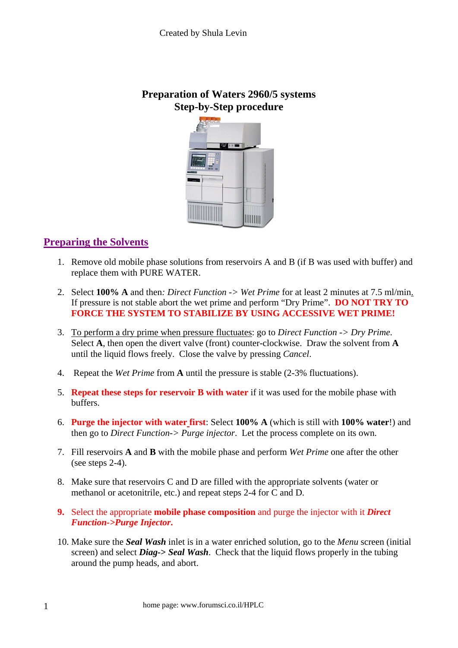**Preparation of Waters 2960/5 systems Step-by-Step procedure** 



## **Preparing the Solvents**

- 1. Remove old mobile phase solutions from reservoirs A and B (if B was used with buffer) and replace them with PURE WATER.
- 2. Select **100% A** and then*: Direct Function -> Wet Prime* for at least 2 minutes at 7.5 ml/min. If pressure is not stable abort the wet prime and perform "Dry Prime". **DO NOT TRY TO FORCE THE SYSTEM TO STABILIZE BY USING ACCESSIVE WET PRIME!**
- 3. To perform a dry prime when pressure fluctuates: go to *Direct Function -> Dry Prime*. Select **A**, then open the divert valve (front) counter-clockwise. Draw the solvent from **A** until the liquid flows freely. Close the valve by pressing *Cancel*.
- 4. Repeat the *Wet Prime* from **A** until the pressure is stable (2-3% fluctuations).
- 5. **Repeat these steps for reservoir B with water** if it was used for the mobile phase with buffers.
- 6. **Purge the injector with water first**: Select **100% A** (which is still with **100% water**!) and then go to *Direct Function-> Purge injector*. Let the process complete on its own.
- 7. Fill reservoirs **A** and **B** with the mobile phase and perform *Wet Prime* one after the other (see steps  $2-4$ ).
- 8. Make sure that reservoirs C and D are filled with the appropriate solvents (water or methanol or acetonitrile, etc.) and repeat steps 2-4 for C and D.
- **9.** Select the appropriate **mobile phase composition** and purge the injector with it *Direct Function->Purge Injector***.**
- 10. Make sure the *Seal Wash* inlet is in a water enriched solution, go to the *Menu* screen (initial screen) and select *Diag***->** *Seal Wash*. Check that the liquid flows properly in the tubing around the pump heads, and abort.